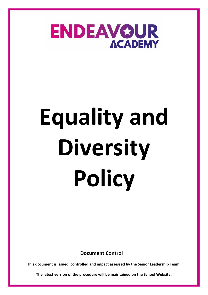

**Document Control**

**This document is issued, controlled and impact assessed by the Senior Leadership Team.** 

**The latest version of the procedure will be maintained on the School Website.**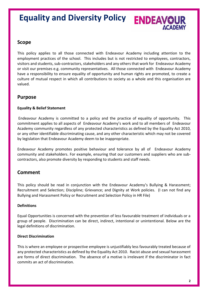### **Equality and Diversity Policy ENDEAVOUR ACADEMY**

### **Scope**

This policy applies to all those connected with Endeavour Academy including attention to the employment practices of the school. This includes but is not restricted to employees, contractors, visitors and students, sub-contractors, stakeholders and any others that work for Endeavour Academy or visit our premises e.g. community representatives. All those connected with Endeavour Academy have a responsibility to ensure equality of opportunity and human rights are promoted, to create a culture of mutual respect in which all contributions to society as a whole and this organisation are valued.

### **Purpose**

#### **Equality & Belief Statement**

Endeavour Academy is committed to a policy and the practice of equality of opportunity. This commitment applies to all aspects of Endeavour Academy's work and to all members of Endeavour Academy community regardless of any protected characteristics as defined by the Equality Act 2010, or any other identifiable discriminating cause, and any other characteristic which may not be covered by legislation that Endeavour Academy deem to be inappropriate.

Endeavour Academy promotes positive behaviour and tolerance by all of Endeavour Academy community and stakeholders. For example, ensuring that our customers and suppliers who are subcontractors, also promote diversity by responding to students and staff needs.

### **Comment**

This policy should be read in conjunction with the Endeavour Academy's Bullying & Harassment; Recruitment and Selection; Discipline; Grievance; and Dignity at Work policies. (I can not find any Bullying and Harassment Policy or Recruitment and Selection Policy in HR File)

#### **Definitions**

Equal Opportunities is concerned with the prevention of less favourable treatment of individuals or a group of people. Discrimination can be direct, indirect, intentional or unintentional. Below are the legal definitions of discrimination.

#### **Direct Discrimination**

This is where an employee or prospective employee is unjustifiably less favourably treated because of any protected characteristics as defined by the Equality Act 2010. Racist abuse and sexual harassment are forms of direct discrimination. The absence of a motive is irrelevant if the discriminator in fact commits an act of discrimination.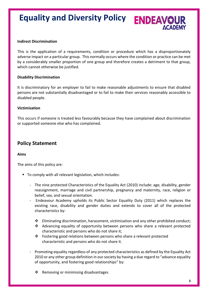#### **Indirect Discrimination**

This is the application of a requirements, condition or procedure which has a disproportionately adverse impact on a particular group. This normally occurs where the condition or practice can be met by a considerably smaller proportion of one group and therefore creates a detriment to that group, which cannot otherwise be justified.

#### **Disability Discrimination**

It is discriminatory for an employer to fail to make reasonable adjustments to ensure that disabled persons are not substantially disadvantaged or to fail to make their services reasonably accessible to disabled people.

#### **Victimisation**

This occurs if someone is treated less favourably because they have complained about discrimination or supported someone else who has complained.

### **Policy Statement**

#### **Aims**

The aims of this policy are:

- To comply with all relevant legislation, which includes:
	- The nine protected Characteristics of the Equality Act (2010) include: age, disability, gender reassignment, marriage and civil partnership, pregnancy and maternity, race, religion or belief, sex, and sexual orientation.
	- Endeavour Academy upholds its Public Sector Equality Duty (2011) which replaces the existing race, disability and gender duties and extends to cover all of the protected characteristics by:
		- $\clubsuit$  Eliminating discrimination, harassment, victimisation and any other prohibited conduct;
		- ❖ Advancing equality of opportunity between persons who share a relevant protected characteristic and persons who do not share it;
		- ❖ Fostering good relations between persons who share a relevant protected characteristic and persons who do not share it.
	- Promoting equality regardless of any protected characteristics as defined by the Equality Act 2010 or any other group definition in our society by having a due regard to "advance equality of opportunity, and fostering good relationships" by:
		- ❖ Removing or minimising disadvantages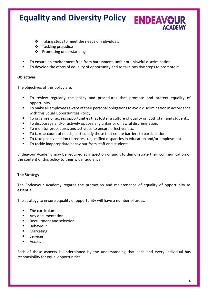- ❖ Taking steps to meet the needs of individuals
- ❖ Tackling prejudice
- ❖ Promoting understanding
- To ensure an environment free from harassment, unfair or unlawful discrimination.
- To develop the ethos of equality of opportunity and to take positive steps to promote it.

#### **Objectives**

The objectives of this policy are:

- To review regularly the policy and procedures that promote and protect equality of opportunity.
- To make all employees aware of their personal obligations to avoid discrimination in accordance with this Equal Opportunities Policy.
- To organise or access opportunities that foster a culture of quality on both staff and students.
- To discourage and/or actively oppose any unfair or unlawful discrimination.
- To monitor procedures and activities to ensure effectiveness.
- To take account of needs, particularly those that create barriers to participation.
- To take positive action to redress unjustified disparities in education and/or employment.
- To tackle inappropriate behaviour from staff and students.

Endeavour Academy may be required at inspection or audit to demonstrate their communication of the content of this policy to their wider audience.

#### **The Strategy**

The Endeavour Academy regards the promotion and maintenance of equality of opportunity as essential.

The strategy to ensure equality of opportunity will have a number of areas:

- The curriculum
- Any documentation
- **Recruitment and selection**
- Behaviour
- **Marketing**
- **Services**
- **Access**

Each of these aspects is underpinned by the understanding that each and every individual has responsibility for equal opportunities.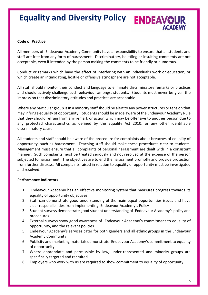# **Equality and Diversity Policy ENDEAVOUR**

#### **Code of Practice**

All members of Endeavour Academy Community have a responsibility to ensure that all students and staff are free from any form of harassment. Discriminatory, belittling or insulting comments are not acceptable, even if intended by the person making the comments to be friendly or humorous.

Conduct or remarks which have the effect of interfering with an individual's work or education, or which create an intimidating, hostile or offensive atmosphere are not acceptable.

All staff should monitor their conduct and language to eliminate discriminatory remarks or practices and should actively challenge such behaviour amongst students. Students must never be given the impression that discriminatory attitudes and practices are acceptable.

Where any particular group is in a minority staff should be alert to any power structures or tension that may infringe equality of opportunity. Students should be made aware of the Endeavour Academy Rule that they should refrain from any remark or action which may be offensive to another person due to any protected characteristics as defined by the Equality Act 2010, or any other identifiable discriminatory cause.

All students and staff should be aware of the procedure for complaints about breaches of equality of opportunity, such as harassment. Teaching staff should make these procedures clear to students. Management must ensure that all complaints of personal harassment are dealt with in a consistent manner. Such complaints must be treated seriously and not resolved at the expense of the person subjected to harassment. The objectives are to end the harassment promptly and provide protection from further distress. All complaints raised in relation to equality of opportunity must be investigated and resolved.

#### **Performance Indicators**

- 1. Endeavour Academy has an effective monitoring system that measures progress towards its equality of opportunity objectives
- 2. Staff can demonstrate good understanding of the main equal opportunities issues and have clear responsibilities from implementing Endeavour Academy's Policy
- 3. Student surveys demonstrate good student understanding of Endeavour Academy's policy and procedures
- 4. External surveys show good awareness of Endeavour Academy's commitment to equality of opportunity, and the relevant policies
- 5. Endeavour Academy's services cater for both genders and all ethnic groups in the Endeavour Academy Community
- 6. Publicity and marketing materials demonstrate Endeavour Academy's commitment to equality of opportunity
- 7. Where appropriate and permissible by law, under-represented and minority groups are specifically targeted and recruited
- 8. Employers who work with us are required to show commitment to equality of opportunity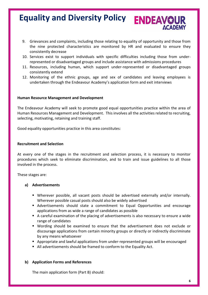- 9. Grievances and complaints, including those relating to equality of opportunity and those from the nine protected characteristics are monitored by HR and evaluated to ensure they consistently decrease
- 10. Services exist to support individuals with specific difficulties including those from underrepresented or disadvantaged groups and include assistance with admissions procedures
- 11. Resources, including human, which support under-represented or disadvantaged groups consistently extend
- 12. Monitoring of the ethnic groups, age and sex of candidates and leaving employees is undertaken through the Endeavour Academy's application form and exit interviews

#### **Human Resource Management and Development**

The Endeavour Academy will seek to promote good equal opportunities practice within the area of Human Resources Management and Development. This involves all the activities related to recruiting, selecting, motivating, retaining and training staff.

Good equality opportunities practice in this area constitutes:

#### **Recruitment and Selection**

At every one of the stages in the recruitment and selection process, it is necessary to monitor procedures which seek to eliminate discrimination, and to train and issue guidelines to all those involved in the process.

These stages are:

#### **a) Advertisements**

- Wherever possible, all vacant posts should be advertised externally and/or internally. Wherever possible casual posts should also be widely advertised
- Advertisements should state a commitment to Equal Opportunities and encourage applications from as wide a range of candidates as possible
- A careful examination of the placing of advertisements is also necessary to ensure a wide range of candidates
- Wording should be examined to ensure that the advertisement does not exclude or discourage applications from certain minority groups or directly or indirectly discriminate by any means whatsoever
- Appropriate and lawful applications from under-represented groups will be encouraged
- All advertisements should be framed to conform to the Equality Act.

#### **b) Application Forms and References**

The main application form (Part B) should: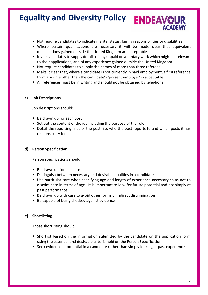- Not require candidates to indicate marital status, family responsibilities or disabilities
- Where certain qualifications are necessary it will be made clear that equivalent qualifications gained outside the United Kingdom are acceptable
- Invite candidates to supply details of any unpaid or voluntary work which might be relevant to their applications, and of any experience gained outside the United Kingdom
- Not require candidates to supply the names of more than three referees
- Make it clear that, where a candidate is not currently in paid employment, a first reference from a source other than the candidate's 'present employer' is acceptable
- All references must be in writing and should not be obtained by telephone

#### **c) Job Descriptions**

Job descriptions should:

- Be drawn up for each post
- Set out the content of the job including the purpose of the role
- Detail the reporting lines of the post, i.e. who the post reports to and which posts it has responsibility for

#### **d) Person Specification**

Person specifications should:

- Be drawn up for each post
- Distinguish between necessary and desirable qualities in a candidate
- Use particular care when specifying age and length of experience necessary so as not to discriminate in terms of age. It is important to look for future potential and not simply at past performance
- Be drawn up with care to avoid other forms of indirect discrimination
- Be capable of being checked against evidence

#### **e) Shortlisting**

Those shortlisting should:

- Shortlist based on the information submitted by the candidate on the application form using the essential and desirable criteria held on the Person Specification
- Seek evidence of potential in a candidate rather than simply looking at past experience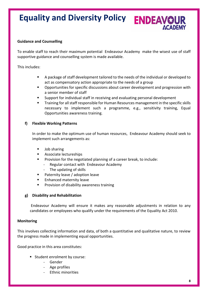# **Equality and Diversity Policy ENDEAVOUR**

#### **Guidance and Counselling**

To enable staff to reach their maximum potential Endeavour Academy make the wisest use of staff supportive guidance and counselling system is made available.

This includes:

- A package of staff development tailored to the needs of the individual or developed to act as compensatory action appropriate to the needs of a group
- Opportunities for specific discussions about career development and progression with a senior member of staff
- Support for individual staff in receiving and evaluating personal development
- Training for all staff responsible for Human Resources management in the specific skills necessary to implement such a programme, e.g., sensitivity training, Equal Opportunities awareness training.

#### **f) Flexible Working Patterns**

In order to make the optimum use of human resources, Endeavour Academy should seek to implement such arrangements as:

- Job sharing
- Associate lectureships
- Provision for the negotiated planning of a career break, to include:
	- Regular contact with Endeavour Academy
	- The updating of skills
- Paternity leave / adoption leave
- Enhanced maternity leave
- Provision of disability awareness training

#### **g) Disability and Rehabilitation**

Endeavour Academy will ensure it makes any reasonable adjustments in relation to any candidates or employees who qualify under the requirements of the Equality Act 2010.

#### **Monitoring**

This involves collecting information and data, of both a quantitative and qualitative nature, to review the progress made in implementing equal opportunities.

Good practice in this area constitutes:

- Student enrolment by course:
	- Gender
	- Age profiles
	- Ethnic minorities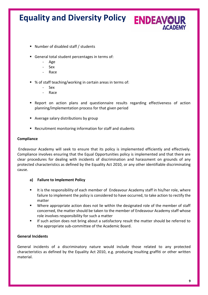- Number of disabled staff / students
- General total student percentages in terms of:
	- Age
	- Sex
	- Race
- % of staff teaching/working in certain areas in terms of:
	- Sex
	- Race
- **•** Report on action plans and questionnaire results regarding effectiveness of action planning/implementation process for that given period
- Average salary distributions by group
- Recruitment monitoring information for staff and students

#### **Compliance**

Endeavour Academy will seek to ensure that its policy is implemented efficiently and effectively. Compliance involves ensuring that the Equal Opportunities policy is implemented and that there are clear procedures for dealing with incidents of discrimination and harassment on grounds of any protected characteristics as defined by the Equality Act 2010, or any other identifiable discriminating cause.

#### **a) Failure to Implement Policy**

- It is the responsibility of each member of Endeavour Academy staff in his/her role, where failure to implement the policy is considered to have occurred, to take action to rectify the matter
- Where appropriate action does not lie within the designated role of the member of staff concerned, the matter should be taken to the member of Endeavour Academy staff whose role involves responsibility for such a matter
- If such action does not bring about a satisfactory result the matter should be referred to the appropriate sub-committee of the Academic Board.

#### **General Incidents**

General incidents of a discriminatory nature would include those related to any protected characteristics as defined by the Equality Act 2010, e.g. producing insulting graffiti or other written material.